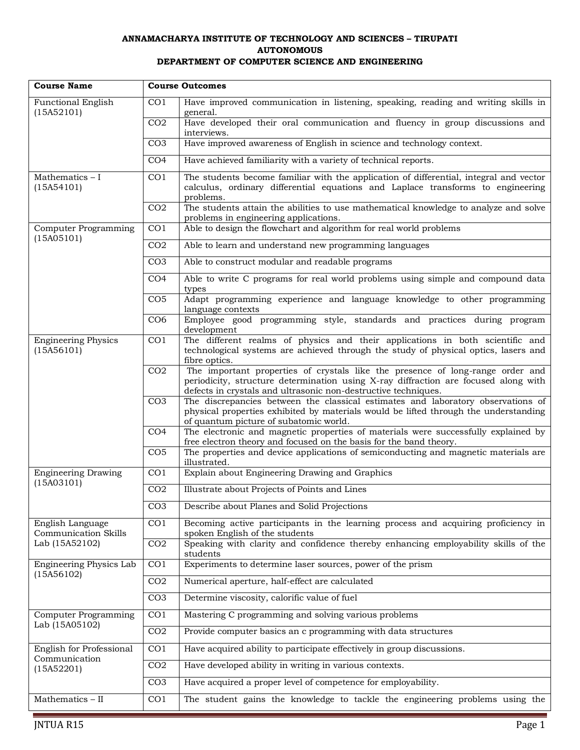## **ANNAMACHARYA INSTITUTE OF TECHNOLOGY AND SCIENCES – TIRUPATI AUTONOMOUS DEPARTMENT OF COMPUTER SCIENCE AND ENGINEERING**

| <b>Course Name</b>                                      | <b>Course Outcomes</b> |                                                                                                                                                          |
|---------------------------------------------------------|------------------------|----------------------------------------------------------------------------------------------------------------------------------------------------------|
| <b>Functional English</b>                               | CO <sub>1</sub>        | Have improved communication in listening, speaking, reading and writing skills in                                                                        |
| (15A52101)                                              | CO <sub>2</sub>        | general.<br>Have developed their oral communication and fluency in group discussions and                                                                 |
|                                                         |                        | interviews.                                                                                                                                              |
|                                                         | CO <sub>3</sub>        | Have improved awareness of English in science and technology context.                                                                                    |
|                                                         | CO <sub>4</sub>        | Have achieved familiarity with a variety of technical reports.                                                                                           |
| Mathematics - I                                         | CO <sub>1</sub>        | The students become familiar with the application of differential, integral and vector                                                                   |
| (15A54101)                                              |                        | calculus, ordinary differential equations and Laplace transforms to engineering<br>problems.                                                             |
|                                                         | CO <sub>2</sub>        | The students attain the abilities to use mathematical knowledge to analyze and solve<br>problems in engineering applications.                            |
| <b>Computer Programming</b>                             | CO <sub>1</sub>        | Able to design the flowchart and algorithm for real world problems                                                                                       |
| (15A05101)                                              | CO <sub>2</sub>        | Able to learn and understand new programming languages                                                                                                   |
|                                                         | CO <sub>3</sub>        | Able to construct modular and readable programs                                                                                                          |
|                                                         | CO <sub>4</sub>        | Able to write C programs for real world problems using simple and compound data                                                                          |
|                                                         |                        | types                                                                                                                                                    |
|                                                         | CO <sub>5</sub>        | Adapt programming experience and language knowledge to other programming<br>language contexts                                                            |
|                                                         | CO <sub>6</sub>        | Employee good programming style, standards and practices during program<br>development                                                                   |
| <b>Engineering Physics</b>                              | CO <sub>1</sub>        | The different realms of physics and their applications in both scientific and                                                                            |
| (15A56101)                                              |                        | technological systems are achieved through the study of physical optics, lasers and<br>fibre optics.                                                     |
|                                                         | CO <sub>2</sub>        | The important properties of crystals like the presence of long-range order and                                                                           |
|                                                         |                        | periodicity, structure determination using X-ray diffraction are focused along with<br>defects in crystals and ultrasonic non-destructive techniques.    |
|                                                         | CO <sub>3</sub>        | The discrepancies between the classical estimates and laboratory observations of                                                                         |
|                                                         |                        | physical properties exhibited by materials would be lifted through the understanding<br>of quantum picture of subatomic world.                           |
|                                                         | CO <sub>4</sub>        | The electronic and magnetic properties of materials were successfully explained by<br>free electron theory and focused on the basis for the band theory. |
|                                                         | CO <sub>5</sub>        | The properties and device applications of semiconducting and magnetic materials are                                                                      |
| <b>Engineering Drawing</b>                              | CO <sub>1</sub>        | illustrated.<br>Explain about Engineering Drawing and Graphics                                                                                           |
| (15A03101)                                              | CO <sub>2</sub>        | Illustrate about Projects of Points and Lines                                                                                                            |
|                                                         |                        |                                                                                                                                                          |
|                                                         | CO <sub>3</sub>        | Describe about Planes and Solid Projections                                                                                                              |
| English Language<br><b>Communication Skills</b>         | CO <sub>1</sub>        | Becoming active participants in the learning process and acquiring proficiency in<br>spoken English of the students                                      |
| Lab (15A52102)                                          | CO <sub>2</sub>        | Speaking with clarity and confidence thereby enhancing employability skills of the                                                                       |
|                                                         |                        | students                                                                                                                                                 |
| Engineering Physics Lab<br>(15A56102)                   | CO <sub>1</sub>        | Experiments to determine laser sources, power of the prism                                                                                               |
|                                                         | CO <sub>2</sub>        | Numerical aperture, half-effect are calculated                                                                                                           |
|                                                         | CO <sub>3</sub>        | Determine viscosity, calorific value of fuel                                                                                                             |
| <b>Computer Programming</b><br>Lab (15A05102)           | CO1                    | Mastering C programming and solving various problems                                                                                                     |
|                                                         | CO <sub>2</sub>        | Provide computer basics an c programming with data structures                                                                                            |
| English for Professional<br>Communication<br>(15A52201) | CO1                    | Have acquired ability to participate effectively in group discussions.                                                                                   |
|                                                         | CO <sub>2</sub>        | Have developed ability in writing in various contexts.                                                                                                   |
|                                                         | CO <sub>3</sub>        | Have acquired a proper level of competence for employability.                                                                                            |
| Mathematics - II                                        | CO <sub>1</sub>        | The student gains the knowledge to tackle the engineering problems using the                                                                             |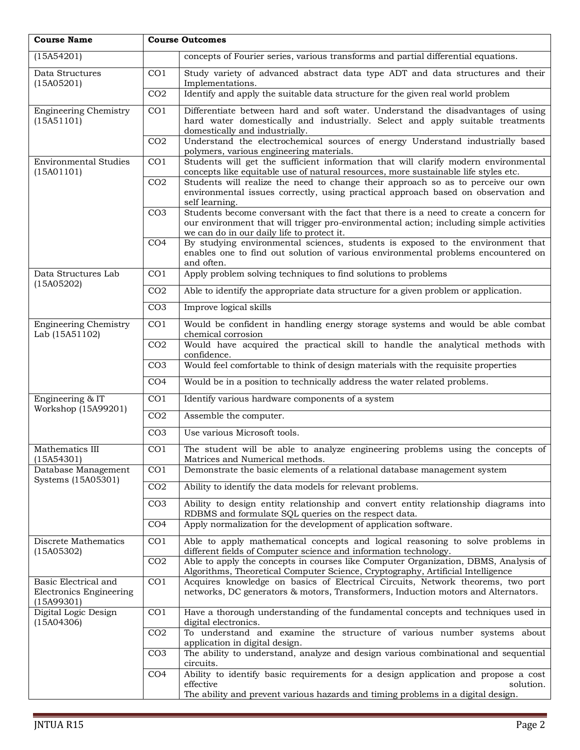| <b>Course Name</b>                                                   | <b>Course Outcomes</b> |                                                                                                                                                                                                                                |
|----------------------------------------------------------------------|------------------------|--------------------------------------------------------------------------------------------------------------------------------------------------------------------------------------------------------------------------------|
| (15A54201)                                                           |                        | concepts of Fourier series, various transforms and partial differential equations.                                                                                                                                             |
| Data Structures<br>(15A05201)                                        | CO <sub>1</sub>        | Study variety of advanced abstract data type ADT and data structures and their<br>Implementations.                                                                                                                             |
|                                                                      | CO <sub>2</sub>        | Identify and apply the suitable data structure for the given real world problem                                                                                                                                                |
| <b>Engineering Chemistry</b><br>(15A51101)                           | $\overline{CO1}$       | Differentiate between hard and soft water. Understand the disadvantages of using<br>hard water domestically and industrially. Select and apply suitable treatments<br>domestically and industrially.                           |
|                                                                      | CO <sub>2</sub>        | Understand the electrochemical sources of energy Understand industrially based<br>polymers, various engineering materials.                                                                                                     |
| <b>Environmental Studies</b><br>(15A01101)                           | CO <sub>1</sub>        | Students will get the sufficient information that will clarify modern environmental<br>concepts like equitable use of natural resources, more sustainable life styles etc.                                                     |
|                                                                      | CO <sub>2</sub>        | Students will realize the need to change their approach so as to perceive our own<br>environmental issues correctly, using practical approach based on observation and<br>self learning.                                       |
|                                                                      | CO <sub>3</sub>        | Students become conversant with the fact that there is a need to create a concern for<br>our environment that will trigger pro-environmental action; including simple activities<br>we can do in our daily life to protect it. |
|                                                                      | CO <sub>4</sub>        | By studying environmental sciences, students is exposed to the environment that<br>enables one to find out solution of various environmental problems encountered on<br>and often.                                             |
| Data Structures Lab                                                  | CO <sub>1</sub>        | Apply problem solving techniques to find solutions to problems                                                                                                                                                                 |
| (15A05202)                                                           | CO <sub>2</sub>        | Able to identify the appropriate data structure for a given problem or application.                                                                                                                                            |
|                                                                      | CO <sub>3</sub>        | Improve logical skills                                                                                                                                                                                                         |
| <b>Engineering Chemistry</b><br>Lab (15A51102)                       | CO <sub>1</sub>        | Would be confident in handling energy storage systems and would be able combat<br>chemical corrosion                                                                                                                           |
|                                                                      | CO <sub>2</sub>        | Would have acquired the practical skill to handle the analytical methods with<br>confidence.                                                                                                                                   |
|                                                                      | CO <sub>3</sub>        | Would feel comfortable to think of design materials with the requisite properties                                                                                                                                              |
|                                                                      | CO <sub>4</sub>        | Would be in a position to technically address the water related problems.                                                                                                                                                      |
| Engineering & IT<br>Workshop (15A99201)                              | CO <sub>1</sub>        | Identify various hardware components of a system                                                                                                                                                                               |
|                                                                      | CO <sub>2</sub>        | Assemble the computer.                                                                                                                                                                                                         |
|                                                                      | CO <sub>3</sub>        | Use various Microsoft tools.                                                                                                                                                                                                   |
| Mathematics III<br>(15A54301)                                        | CO <sub>1</sub>        | The student will be able to analyze engineering problems using the concepts of<br>Matrices and Numerical methods.                                                                                                              |
| Database Management<br>Systems (15A05301)                            | CO <sub>1</sub>        | Demonstrate the basic elements of a relational database management system                                                                                                                                                      |
|                                                                      | CO <sub>2</sub>        | Ability to identify the data models for relevant problems.                                                                                                                                                                     |
|                                                                      | CO <sub>3</sub>        | Ability to design entity relationship and convert entity relationship diagrams into<br>RDBMS and formulate SQL queries on the respect data.                                                                                    |
|                                                                      | CO <sub>4</sub>        | Apply normalization for the development of application software.                                                                                                                                                               |
| Discrete Mathematics<br>(15A05302)                                   | CO <sub>1</sub>        | Able to apply mathematical concepts and logical reasoning to solve problems in<br>different fields of Computer science and information technology.                                                                             |
|                                                                      | CO <sub>2</sub>        | Able to apply the concepts in courses like Computer Organization, DBMS, Analysis of<br>Algorithms, Theoretical Computer Science, Cryptography, Artificial Intelligence                                                         |
| Basic Electrical and<br><b>Electronics Engineering</b><br>(15A99301) | CO <sub>1</sub>        | Acquires knowledge on basics of Electrical Circuits, Network theorems, two port<br>networks, DC generators & motors, Transformers, Induction motors and Alternators.                                                           |
| Digital Logic Design<br>(15A04306)                                   | CO <sub>1</sub>        | Have a thorough understanding of the fundamental concepts and techniques used in<br>digital electronics.                                                                                                                       |
|                                                                      | CO <sub>2</sub>        | To understand and examine the structure of various number systems about<br>application in digital design.                                                                                                                      |
|                                                                      | CO <sub>3</sub>        | The ability to understand, analyze and design various combinational and sequential<br>circuits.                                                                                                                                |
|                                                                      | CO <sub>4</sub>        | Ability to identify basic requirements for a design application and propose a cost<br>effective<br>solution.<br>The ability and prevent various hazards and timing problems in a digital design.                               |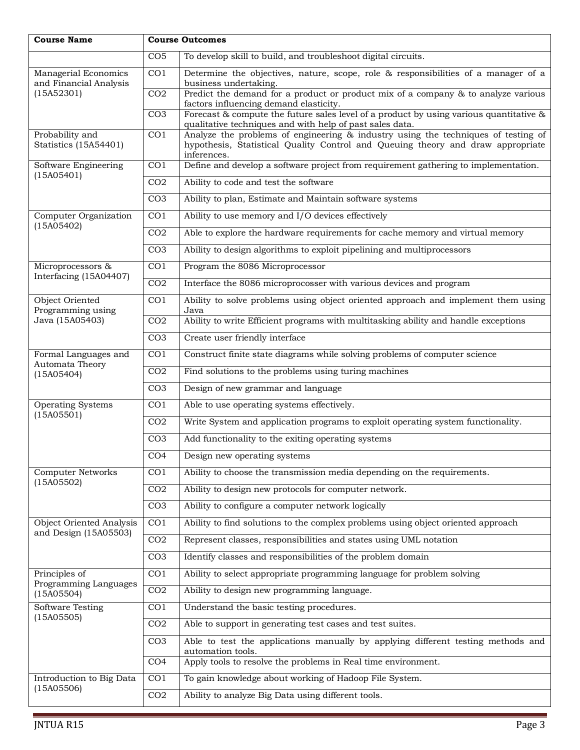| <b>Course Name</b>                             | <b>Course Outcomes</b> |                                                                                                                                               |
|------------------------------------------------|------------------------|-----------------------------------------------------------------------------------------------------------------------------------------------|
|                                                | CO <sub>5</sub>        | To develop skill to build, and troubleshoot digital circuits.                                                                                 |
| Managerial Economics<br>and Financial Analysis | CO <sub>1</sub>        | Determine the objectives, nature, scope, role & responsibilities of a manager of a<br>business undertaking.                                   |
| (15A52301)                                     | CO <sub>2</sub>        | Predict the demand for a product or product mix of a company & to analyze various<br>factors influencing demand elasticity.                   |
|                                                | CO <sub>3</sub>        | Forecast & compute the future sales level of a product by using various quantitative $\&$                                                     |
| Probability and                                | $\overline{CO1}$       | qualitative techniques and with help of past sales data.<br>Analyze the problems of engineering & industry using the techniques of testing of |
| Statistics (15A54401)                          |                        | hypothesis, Statistical Quality Control and Queuing theory and draw appropriate<br>inferences.                                                |
| Software Engineering<br>(15A05401)             | CO <sub>1</sub>        | Define and develop a software project from requirement gathering to implementation.                                                           |
|                                                | CO <sub>2</sub>        | Ability to code and test the software                                                                                                         |
|                                                | CO <sub>3</sub>        | Ability to plan, Estimate and Maintain software systems                                                                                       |
| Computer Organization                          | CO <sub>1</sub>        | Ability to use memory and I/O devices effectively                                                                                             |
| (15A05402)                                     | CO <sub>2</sub>        | Able to explore the hardware requirements for cache memory and virtual memory                                                                 |
|                                                | CO <sub>3</sub>        | Ability to design algorithms to exploit pipelining and multiprocessors                                                                        |
| Microprocessors &                              | CO <sub>1</sub>        | Program the 8086 Microprocessor                                                                                                               |
| Interfacing (15A04407)                         | CO <sub>2</sub>        | Interface the 8086 microprocosser with various devices and program                                                                            |
| Object Oriented<br>Programming using           | $\overline{CO1}$       | Ability to solve problems using object oriented approach and implement them using<br>Java                                                     |
| Java (15A05403)                                | CO <sub>2</sub>        | Ability to write Efficient programs with multitasking ability and handle exceptions                                                           |
|                                                | CO <sub>3</sub>        | Create user friendly interface                                                                                                                |
| Formal Languages and                           | CO <sub>1</sub>        | Construct finite state diagrams while solving problems of computer science                                                                    |
| Automata Theory<br>(15A05404)                  | CO <sub>2</sub>        | Find solutions to the problems using turing machines                                                                                          |
|                                                | CO <sub>3</sub>        | Design of new grammar and language                                                                                                            |
| <b>Operating Systems</b>                       | CO <sub>1</sub>        | Able to use operating systems effectively.                                                                                                    |
| (15A05501)                                     | CO <sub>2</sub>        | Write System and application programs to exploit operating system functionality.                                                              |
|                                                | CO <sub>3</sub>        | Add functionality to the exiting operating systems                                                                                            |
|                                                | CO <sub>4</sub>        | Design new operating systems                                                                                                                  |
| <b>Computer Networks</b>                       | CO <sub>1</sub>        | Ability to choose the transmission media depending on the requirements.                                                                       |
| (15A05502)                                     | CO <sub>2</sub>        | Ability to design new protocols for computer network.                                                                                         |
|                                                | CO <sub>3</sub>        | Ability to configure a computer network logically                                                                                             |
| <b>Object Oriented Analysis</b>                | $\overline{CO1}$       | Ability to find solutions to the complex problems using object oriented approach                                                              |
| and Design (15A05503)                          | CO <sub>2</sub>        | Represent classes, responsibilities and states using UML notation                                                                             |
|                                                | CO <sub>3</sub>        | Identify classes and responsibilities of the problem domain                                                                                   |
| Principles of<br>Programming Languages         | CO <sub>1</sub>        | Ability to select appropriate programming language for problem solving                                                                        |
| (15A05504)                                     | CO <sub>2</sub>        | Ability to design new programming language.                                                                                                   |
| Software Testing<br>(15A05505)                 | CO <sub>1</sub>        | Understand the basic testing procedures.                                                                                                      |
|                                                | CO <sub>2</sub>        | Able to support in generating test cases and test suites.                                                                                     |
|                                                | CO <sub>3</sub>        | Able to test the applications manually by applying different testing methods and<br>automation tools.                                         |
|                                                | CO <sub>4</sub>        | Apply tools to resolve the problems in Real time environment.                                                                                 |
| Introduction to Big Data                       | CO <sub>1</sub>        | To gain knowledge about working of Hadoop File System.                                                                                        |
| (15A05506)                                     | CO <sub>2</sub>        | Ability to analyze Big Data using different tools.                                                                                            |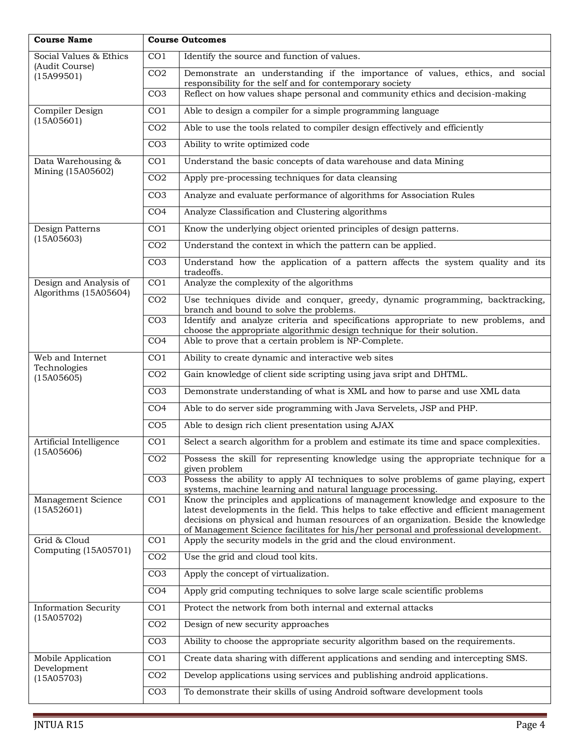| <b>Course Name</b>                        | <b>Course Outcomes</b> |                                                                                                                                                                                                                                                                                                                                                           |
|-------------------------------------------|------------------------|-----------------------------------------------------------------------------------------------------------------------------------------------------------------------------------------------------------------------------------------------------------------------------------------------------------------------------------------------------------|
| Social Values & Ethics                    | CO <sub>1</sub>        | Identify the source and function of values.                                                                                                                                                                                                                                                                                                               |
| (Audit Course)<br>(15A99501)              | CO <sub>2</sub>        | Demonstrate an understanding if the importance of values, ethics, and social<br>responsibility for the self and for contemporary society                                                                                                                                                                                                                  |
|                                           | CO <sub>3</sub>        | Reflect on how values shape personal and community ethics and decision-making                                                                                                                                                                                                                                                                             |
| Compiler Design                           | CO <sub>1</sub>        | Able to design a compiler for a simple programming language                                                                                                                                                                                                                                                                                               |
| (15A05601)                                | CO <sub>2</sub>        | Able to use the tools related to compiler design effectively and efficiently                                                                                                                                                                                                                                                                              |
|                                           | CO <sub>3</sub>        | Ability to write optimized code                                                                                                                                                                                                                                                                                                                           |
| Data Warehousing &                        | CO <sub>1</sub>        | Understand the basic concepts of data warehouse and data Mining                                                                                                                                                                                                                                                                                           |
| Mining (15A05602)                         | CO <sub>2</sub>        | Apply pre-processing techniques for data cleansing                                                                                                                                                                                                                                                                                                        |
|                                           | CO <sub>3</sub>        | Analyze and evaluate performance of algorithms for Association Rules                                                                                                                                                                                                                                                                                      |
|                                           | CO <sub>4</sub>        | Analyze Classification and Clustering algorithms                                                                                                                                                                                                                                                                                                          |
| Design Patterns                           | CO <sub>1</sub>        | Know the underlying object oriented principles of design patterns.                                                                                                                                                                                                                                                                                        |
| (15A05603)                                | CO <sub>2</sub>        | Understand the context in which the pattern can be applied.                                                                                                                                                                                                                                                                                               |
|                                           | CO <sub>3</sub>        | Understand how the application of a pattern affects the system quality and its<br>tradeoffs.                                                                                                                                                                                                                                                              |
| Design and Analysis of                    | CO <sub>1</sub>        | Analyze the complexity of the algorithms                                                                                                                                                                                                                                                                                                                  |
| Algorithms (15A05604)                     | CO <sub>2</sub>        | Use techniques divide and conquer, greedy, dynamic programming, backtracking,                                                                                                                                                                                                                                                                             |
|                                           | CO <sub>3</sub>        | branch and bound to solve the problems.<br>Identify and analyze criteria and specifications appropriate to new problems, and<br>choose the appropriate algorithmic design technique for their solution.                                                                                                                                                   |
|                                           | CO <sub>4</sub>        | Able to prove that a certain problem is NP-Complete.                                                                                                                                                                                                                                                                                                      |
| Web and Internet                          | CO <sub>1</sub>        | Ability to create dynamic and interactive web sites                                                                                                                                                                                                                                                                                                       |
| Technologies<br>(15A05605)                | CO <sub>2</sub>        | Gain knowledge of client side scripting using java sript and DHTML.                                                                                                                                                                                                                                                                                       |
|                                           | CO <sub>3</sub>        | Demonstrate understanding of what is XML and how to parse and use XML data                                                                                                                                                                                                                                                                                |
|                                           | CO <sub>4</sub>        | Able to do server side programming with Java Servelets, JSP and PHP.                                                                                                                                                                                                                                                                                      |
|                                           | CO <sub>5</sub>        | Able to design rich client presentation using AJAX                                                                                                                                                                                                                                                                                                        |
| Artificial Intelligence                   | CO <sub>1</sub>        | Select a search algorithm for a problem and estimate its time and space complexities.                                                                                                                                                                                                                                                                     |
| (15A05606)                                | CO <sub>2</sub>        | Possess the skill for representing knowledge using the appropriate technique for a<br>given problem                                                                                                                                                                                                                                                       |
|                                           | CO <sub>3</sub>        | Possess the ability to apply AI techniques to solve problems of game playing, expert<br>systems, machine learning and natural language processing.                                                                                                                                                                                                        |
| Management Science<br>(15A52601)          | CO <sub>1</sub>        | Know the principles and applications of management knowledge and exposure to the<br>latest developments in the field. This helps to take effective and efficient management<br>decisions on physical and human resources of an organization. Beside the knowledge<br>of Management Science facilitates for his/her personal and professional development. |
| Grid & Cloud                              | CO <sub>1</sub>        | Apply the security models in the grid and the cloud environment.                                                                                                                                                                                                                                                                                          |
| Computing (15A05701)                      | CO <sub>2</sub>        | Use the grid and cloud tool kits.                                                                                                                                                                                                                                                                                                                         |
|                                           | CO <sub>3</sub>        | Apply the concept of virtualization.                                                                                                                                                                                                                                                                                                                      |
|                                           | CO <sub>4</sub>        | Apply grid computing techniques to solve large scale scientific problems                                                                                                                                                                                                                                                                                  |
| <b>Information Security</b><br>(15A05702) | CO <sub>1</sub>        | Protect the network from both internal and external attacks                                                                                                                                                                                                                                                                                               |
|                                           | CO <sub>2</sub>        | Design of new security approaches                                                                                                                                                                                                                                                                                                                         |
|                                           | CO <sub>3</sub>        | Ability to choose the appropriate security algorithm based on the requirements.                                                                                                                                                                                                                                                                           |
| Mobile Application                        | CO <sub>1</sub>        | Create data sharing with different applications and sending and intercepting SMS.                                                                                                                                                                                                                                                                         |
| Development<br>(15A05703)                 | CO <sub>2</sub>        | Develop applications using services and publishing android applications.                                                                                                                                                                                                                                                                                  |
|                                           | CO <sub>3</sub>        | To demonstrate their skills of using Android software development tools                                                                                                                                                                                                                                                                                   |